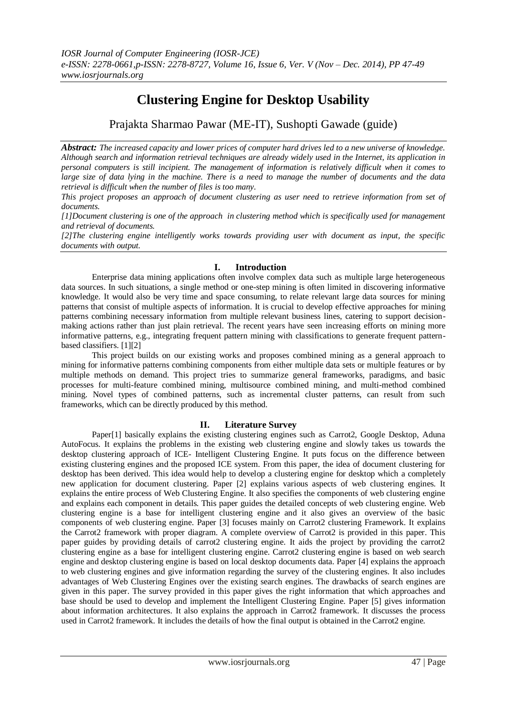# **Clustering Engine for Desktop Usability**

Prajakta Sharmao Pawar (ME-IT), Sushopti Gawade (guide)

*Abstract: The increased capacity and lower prices of computer hard drives led to a new universe of knowledge. Although search and information retrieval techniques are already widely used in the Internet, its application in personal computers is still incipient. The management of information is relatively difficult when it comes to large size of data lying in the machine. There is a need to manage the number of documents and the data retrieval is difficult when the number of files is too many.* 

*This project proposes an approach of document clustering as user need to retrieve information from set of documents.* 

*[1]Document clustering is one of the approach in clustering method which is specifically used for management and retrieval of documents.*

*[2]The clustering engine intelligently works towards providing user with document as input, the specific documents with output.* 

# **I. Introduction**

Enterprise data mining applications often involve complex data such as multiple large heterogeneous data sources. In such situations, a single method or one-step mining is often limited in discovering informative knowledge. It would also be very time and space consuming, to relate relevant large data sources for mining patterns that consist of multiple aspects of information. It is crucial to develop effective approaches for mining patterns combining necessary information from multiple relevant business lines, catering to support decisionmaking actions rather than just plain retrieval. The recent years have seen increasing efforts on mining more informative patterns, e.g., integrating frequent pattern mining with classifications to generate frequent patternbased classifiers. [1][2]

This project builds on our existing works and proposes combined mining as a general approach to mining for informative patterns combining components from either multiple data sets or multiple features or by multiple methods on demand. This project tries to summarize general frameworks, paradigms, and basic processes for multi-feature combined mining, multisource combined mining, and multi-method combined mining. Novel types of combined patterns, such as incremental cluster patterns, can result from such frameworks, which can be directly produced by this method.

## **II. Literature Survey**

Paper<sup>[1]</sup> basically explains the existing clustering engines such as Carrot2, Google Desktop, Aduna AutoFocus. It explains the problems in the existing web clustering engine and slowly takes us towards the desktop clustering approach of ICE- Intelligent Clustering Engine. It puts focus on the difference between existing clustering engines and the proposed ICE system. From this paper, the idea of document clustering for desktop has been derived. This idea would help to develop a clustering engine for desktop which a completely new application for document clustering. Paper [2] explains various aspects of web clustering engines. It explains the entire process of Web Clustering Engine. It also specifies the components of web clustering engine and explains each component in details. This paper guides the detailed concepts of web clustering engine. Web clustering engine is a base for intelligent clustering engine and it also gives an overview of the basic components of web clustering engine. Paper [3] focuses mainly on Carrot2 clustering Framework. It explains the Carrot2 framework with proper diagram. A complete overview of Carrot2 is provided in this paper. This paper guides by providing details of carrot2 clustering engine. It aids the project by providing the carrot2 clustering engine as a base for intelligent clustering engine. Carrot2 clustering engine is based on web search engine and desktop clustering engine is based on local desktop documents data. Paper [4] explains the approach to web clustering engines and give information regarding the survey of the clustering engines. It also includes advantages of Web Clustering Engines over the existing search engines. The drawbacks of search engines are given in this paper. The survey provided in this paper gives the right information that which approaches and base should be used to develop and implement the Intelligent Clustering Engine. Paper [5] gives information about information architectures. It also explains the approach in Carrot2 framework. It discusses the process used in Carrot2 framework. It includes the details of how the final output is obtained in the Carrot2 engine.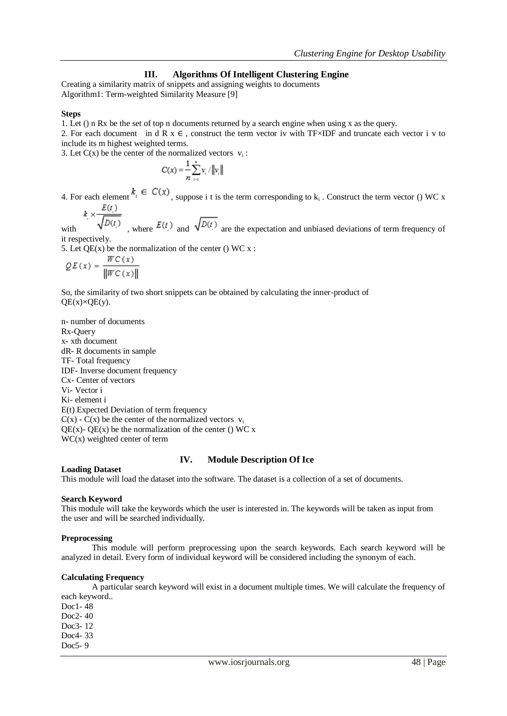# **III. Algorithms Of Intelligent Clustering Engine**

Creating a similarity matrix of snippets and assigning weights to documents Algorithm1: Term-weighted Similarity Measure [9]

#### **Steps**

1. Let () n Rx be the set of top n documents returned by a search engine when using x as the query.

2. For each document in d R  $x \in$ , construct the term vector iv with TF×IDF and truncate each vector i v to include its m highest weighted terms.

3. Let  $C(x)$  be the center of the normalized vectors  $v_i$ :

$$
C(x) = \frac{1}{n} \sum_{i=1}^{n} v_i / ||v_i||
$$

4. For each element  $\alpha_i \in \mathbb{C}(\mathcal{X})$ , suppose i t is the term corresponding to  $k_i$ . Construct the term vector () WC x

$$
k \times \frac{E(t)}{\sqrt{D(t)}}
$$

with  $\sqrt{D(t)}$ , where  $E(t)$  and  $\sqrt{D(t)}$  are the expectation and unbiased deviations of term frequency of it respectively.

5. Let  $OE(x)$  be the normalization of the center () WC x :

$$
\mathcal{Q}E(x) = \frac{W C(x)}{\left\|W C(x)\right\|}
$$

So, the similarity of two short snippets can be obtained by calculating the inner-product of  $QE(x)\times QE(y).$ 

n- number of documents Rx-Query x- xth document dR- R documents in sample TF- Total frequency IDF- Inverse document frequency Cx- Center of vectors Vi- Vector i Ki- element i E(t) Expected Deviation of term frequency  $C(x)$  -  $C(x)$  be the center of the normalized vectors  $v_i$ QE(x)- QE(x) be the normalization of the center () WC x WC(x) weighted center of term

## **IV. Module Description Of Ice**

**Loading Dataset**

This module will load the dataset into the software. The dataset is a collection of a set of documents.

#### **Search Keyword**

This module will take the keywords which the user is interested in. The keywords will be taken as input from the user and will be searched individually.

## **Preprocessing**

This module will perform preprocessing upon the search keywords. Each search keyword will be analyzed in detail. Every form of individual keyword will be considered including the synonym of each.

#### **Calculating Frequency**

A particular search keyword will exist in a document multiple times. We will calculate the frequency of each keyword..

Doc1- 48 Doc2- 40 Doc3- 12 Doc4- 33 Doc5- 9